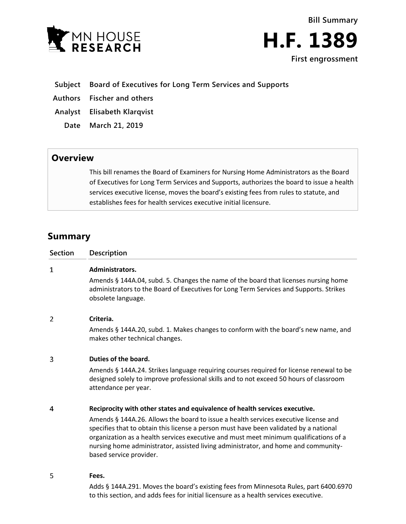

**Bill Summary H.F. 1389 First engrossment**

## **Subject Board of Executives for Long Term Services and Supports**

**Authors Fischer and others**

**Analyst Elisabeth Klarqvist**

**Date March 21, 2019**

## **Overview**

This bill renames the Board of Examiners for Nursing Home Administrators as the Board of Executives for Long Term Services and Supports, authorizes the board to issue a health services executive license, moves the board's existing fees from rules to statute, and establishes fees for health services executive initial licensure.

# **Summary**

| <b>Section</b> | Description                                                                                                                                                                                                                                                                                                                                                                            |
|----------------|----------------------------------------------------------------------------------------------------------------------------------------------------------------------------------------------------------------------------------------------------------------------------------------------------------------------------------------------------------------------------------------|
| $\mathbf 1$    | Administrators.                                                                                                                                                                                                                                                                                                                                                                        |
|                | Amends § 144A.04, subd. 5. Changes the name of the board that licenses nursing home<br>administrators to the Board of Executives for Long Term Services and Supports. Strikes<br>obsolete language.                                                                                                                                                                                    |
| 2              | Criteria.                                                                                                                                                                                                                                                                                                                                                                              |
|                | Amends § 144A.20, subd. 1. Makes changes to conform with the board's new name, and<br>makes other technical changes.                                                                                                                                                                                                                                                                   |
| 3              | Duties of the board.                                                                                                                                                                                                                                                                                                                                                                   |
|                | Amends § 144A.24. Strikes language requiring courses required for license renewal to be<br>designed solely to improve professional skills and to not exceed 50 hours of classroom<br>attendance per year.                                                                                                                                                                              |
| 4              | Reciprocity with other states and equivalence of health services executive.                                                                                                                                                                                                                                                                                                            |
|                | Amends § 144A.26. Allows the board to issue a health services executive license and<br>specifies that to obtain this license a person must have been validated by a national<br>organization as a health services executive and must meet minimum qualifications of a<br>nursing home administrator, assisted living administrator, and home and community-<br>based service provider. |
| 5              | Fees.                                                                                                                                                                                                                                                                                                                                                                                  |
|                | Adds § 144A.291. Moves the board's existing fees from Minnesota Rules, part 6400.6970                                                                                                                                                                                                                                                                                                  |

to this section, and adds fees for initial licensure as a health services executive.